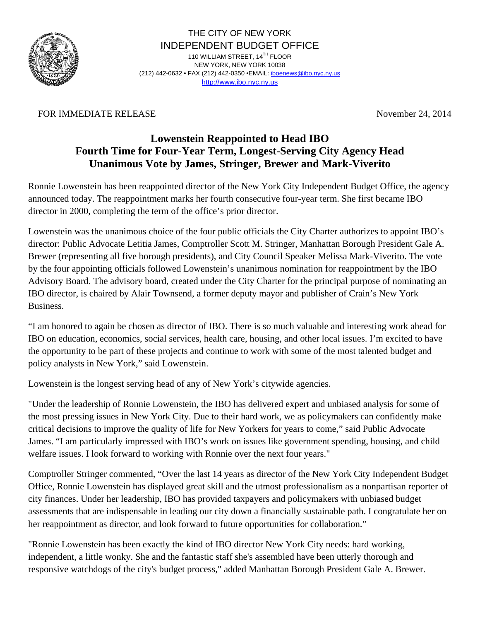

THE CITY OF NEW YORK INDEPENDENT BUDGET OFFICE 110 WILLIAM STREET, 14TH FLOOR NEW YORK, NEW YORK 10038 (212) 442-0632 • FAX (212) 442-0350 •EMAIL[: iboenews@ibo.nyc.ny.us](mailto:iboenews@ibo.nyc.ny.us) <http://www.ibo.nyc.ny.us>

## FOR IMMEDIATE RELEASE November 24, 2014

## **Lowenstein Reappointed to Head IBO Fourth Time for Four-Year Term, Longest-Serving City Agency Head Unanimous Vote by James, Stringer, Brewer and Mark-Viverito**

Ronnie Lowenstein has been reappointed director of the New York City Independent Budget Office, the agency announced today. The reappointment marks her fourth consecutive four-year term. She first became IBO director in 2000, completing the term of the office's prior director.

Lowenstein was the unanimous choice of the four public officials the City Charter authorizes to appoint IBO's director: Public Advocate Letitia James, Comptroller Scott M. Stringer, Manhattan Borough President Gale A. Brewer (representing all five borough presidents), and City Council Speaker Melissa Mark-Viverito. The vote by the four appointing officials followed Lowenstein's unanimous nomination for reappointment by the IBO Advisory Board. The advisory board, created under the City Charter for the principal purpose of nominating an IBO director, is chaired by Alair Townsend, a former deputy mayor and publisher of Crain's New York Business.

"I am honored to again be chosen as director of IBO. There is so much valuable and interesting work ahead for IBO on education, economics, social services, health care, housing, and other local issues. I'm excited to have the opportunity to be part of these projects and continue to work with some of the most talented budget and policy analysts in New York," said Lowenstein.

Lowenstein is the longest serving head of any of New York's citywide agencies.

"Under the leadership of Ronnie Lowenstein, the IBO has delivered expert and unbiased analysis for some of the most pressing issues in New York City. Due to their hard work, we as policymakers can confidently make critical decisions to improve the quality of life for New Yorkers for years to come," said Public Advocate James. "I am particularly impressed with IBO's work on issues like government spending, housing, and child welfare issues. I look forward to working with Ronnie over the next four years."

Comptroller Stringer commented, "Over the last 14 years as director of the New York City Independent Budget Office, Ronnie Lowenstein has displayed great skill and the utmost professionalism as a nonpartisan reporter of city finances. Under her leadership, IBO has provided taxpayers and policymakers with unbiased budget assessments that are indispensable in leading our city down a financially sustainable path. I congratulate her on her reappointment as director, and look forward to future opportunities for collaboration."

"Ronnie Lowenstein has been exactly the kind of IBO director New York City needs: hard working, independent, a little wonky. She and the fantastic staff she's assembled have been utterly thorough and responsive watchdogs of the city's budget process," added Manhattan Borough President Gale A. Brewer.